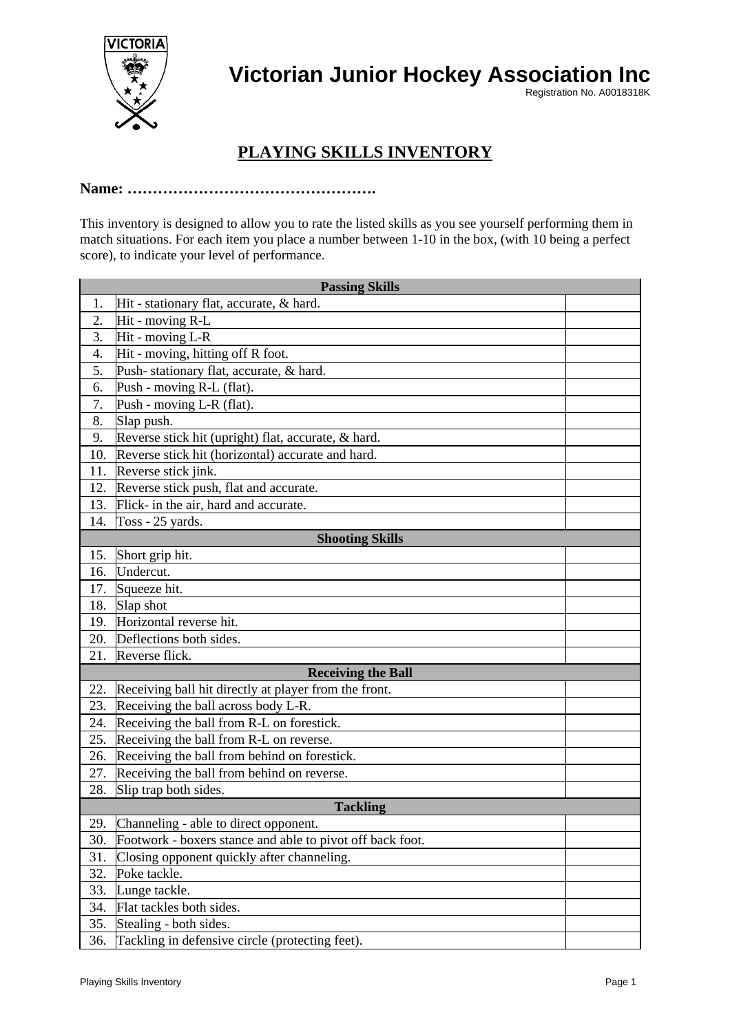

**Victorian Junior Hockey Association Inc**

Registration No. A0018318K

## **PLAYING SKILLS INVENTORY**

## **Name: ………………………………………….**

This inventory is designed to allow you to rate the listed skills as you see yourself performing them in match situations. For each item you place a number between 1-10 in the box, (with 10 being a perfect score), to indicate your level of performance.

| <b>Passing Skills</b>  |                                                           |  |  |
|------------------------|-----------------------------------------------------------|--|--|
| 1.                     | Hit - stationary flat, accurate, & hard.                  |  |  |
| 2.                     | Hit - moving R-L                                          |  |  |
| 3.                     | Hit - moving L-R                                          |  |  |
| 4.                     | Hit - moving, hitting off R foot.                         |  |  |
| 5.                     | Push-stationary flat, accurate, & hard.                   |  |  |
| 6.                     | Push - moving R-L (flat).                                 |  |  |
| 7.                     | Push - moving L-R (flat).                                 |  |  |
| 8.                     | Slap push.                                                |  |  |
| 9.                     | Reverse stick hit (upright) flat, accurate, & hard.       |  |  |
| 10.                    | Reverse stick hit (horizontal) accurate and hard.         |  |  |
| 11.                    | Reverse stick jink.                                       |  |  |
| 12.                    | Reverse stick push, flat and accurate.                    |  |  |
| 13.                    | Flick- in the air, hard and accurate.                     |  |  |
| 14.                    | Toss - 25 yards.                                          |  |  |
| <b>Shooting Skills</b> |                                                           |  |  |
| 15.                    | Short grip hit.                                           |  |  |
| 16.                    | Undercut.                                                 |  |  |
| 17.                    | Squeeze hit.                                              |  |  |
| 18.                    | Slap shot                                                 |  |  |
| 19.                    | Horizontal reverse hit.                                   |  |  |
| 20.                    | Deflections both sides.                                   |  |  |
| 21.                    | Reverse flick.                                            |  |  |
|                        | <b>Receiving the Ball</b>                                 |  |  |
| 22.                    | Receiving ball hit directly at player from the front.     |  |  |
| 23.                    | Receiving the ball across body L-R.                       |  |  |
| 24.                    | Receiving the ball from R-L on forestick.                 |  |  |
| 25.                    | Receiving the ball from R-L on reverse.                   |  |  |
| 26.                    | Receiving the ball from behind on forestick.              |  |  |
| 27.                    | Receiving the ball from behind on reverse.                |  |  |
| 28.                    | Slip trap both sides.                                     |  |  |
| <b>Tackling</b>        |                                                           |  |  |
| 29.                    | Channeling - able to direct opponent.                     |  |  |
| 30.                    | Footwork - boxers stance and able to pivot off back foot. |  |  |
| 31.                    | Closing opponent quickly after channeling.                |  |  |
| 32.                    | Poke tackle.                                              |  |  |
| 33.                    | Lunge tackle.                                             |  |  |
| 34.                    | Flat tackles both sides.                                  |  |  |
| 35.                    | Stealing - both sides.                                    |  |  |
| 36.                    | Tackling in defensive circle (protecting feet).           |  |  |